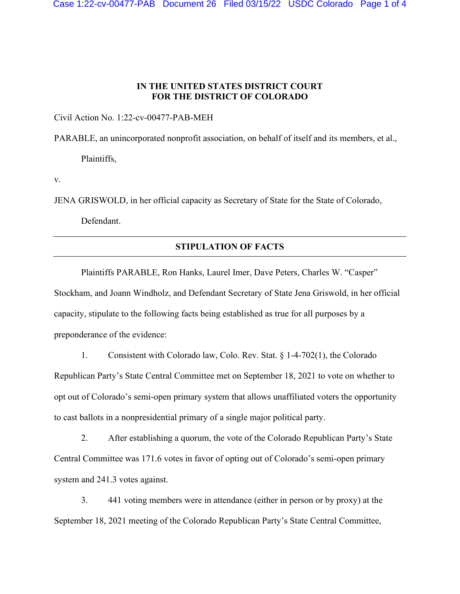## **IN THE UNITED STATES DISTRICT COURT FOR THE DISTRICT OF COLORADO**

Civil Action No. 1:22-cv-00477-PAB-MEH

PARABLE, an unincorporated nonprofit association, on behalf of itself and its members, et al.,

Plaintiffs,

v.

JENA GRISWOLD, in her official capacity as Secretary of State for the State of Colorado,

Defendant.

## **STIPULATION OF FACTS**

Plaintiffs PARABLE, Ron Hanks, Laurel Imer, Dave Peters, Charles W. "Casper" Stockham, and Joann Windholz, and Defendant Secretary of State Jena Griswold, in her official capacity, stipulate to the following facts being established as true for all purposes by a preponderance of the evidence:

1. Consistent with Colorado law, Colo. Rev. Stat. § 1-4-702(1), the Colorado Republican Party's State Central Committee met on September 18, 2021 to vote on whether to opt out of Colorado's semi-open primary system that allows unaffiliated voters the opportunity to cast ballots in a nonpresidential primary of a single major political party.

2. After establishing a quorum, the vote of the Colorado Republican Party's State Central Committee was 171.6 votes in favor of opting out of Colorado's semi-open primary system and 241.3 votes against.

3. 441 voting members were in attendance (either in person or by proxy) at the September 18, 2021 meeting of the Colorado Republican Party's State Central Committee,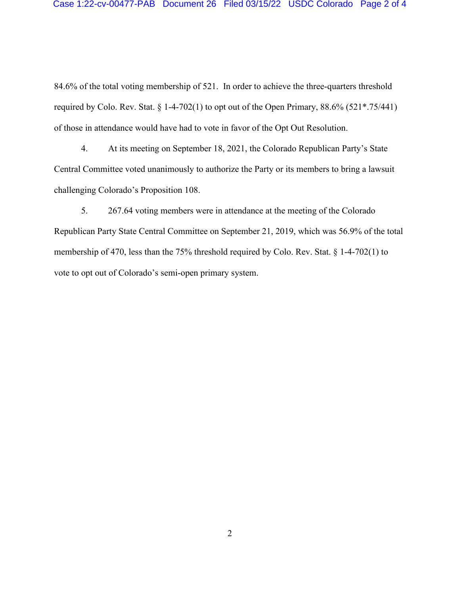84.6% of the total voting membership of 521. In order to achieve the three-quarters threshold required by Colo. Rev. Stat. § 1-4-702(1) to opt out of the Open Primary,  $88.6\%$  (521\*.75/441) of those in attendance would have had to vote in favor of the Opt Out Resolution.

4. At its meeting on September 18, 2021, the Colorado Republican Party's State Central Committee voted unanimously to authorize the Party or its members to bring a lawsuit challenging Colorado's Proposition 108.

5. 267.64 voting members were in attendance at the meeting of the Colorado Republican Party State Central Committee on September 21, 2019, which was 56.9% of the total membership of 470, less than the 75% threshold required by Colo. Rev. Stat. § 1-4-702(1) to vote to opt out of Colorado's semi-open primary system.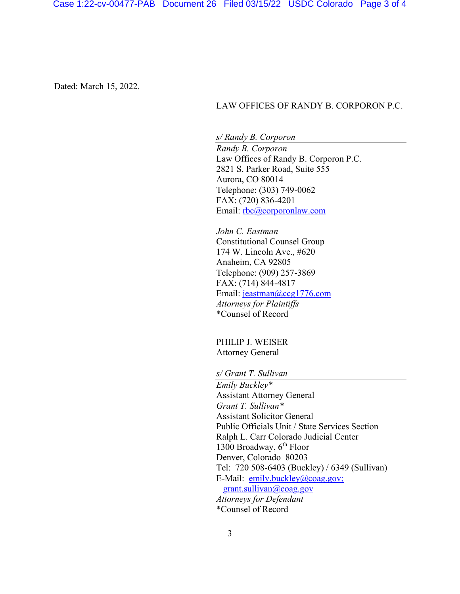Dated: March 15, 2022.

## LAW OFFICES OF RANDY B. CORPORON P.C.

*s/ Randy B. Corporon Randy B. Corporon*  Law Offices of Randy B. Corporon P.C. 2821 S. Parker Road, Suite 555 Aurora, CO 80014 Telephone: (303) 749-0062 FAX: (720) 836-4201 Email: rbc@corporonlaw.com

*John C. Eastman*  Constitutional Counsel Group 174 W. Lincoln Ave., #620 Anaheim, CA 92805 Telephone: (909) 257-3869 FAX: (714) 844-4817 Email: jeastman@ccg1776.com *Attorneys for Plaintiffs* \*Counsel of Record

PHILIP J. WEISER Attorney General

*s/ Grant T. Sullivan* 

*Emily Buckley\** Assistant Attorney General *Grant T. Sullivan\**  Assistant Solicitor General Public Officials Unit / State Services Section Ralph L. Carr Colorado Judicial Center 1300 Broadway,  $6<sup>th</sup>$  Floor Denver, Colorado 80203 Tel: 720 508-6403 (Buckley) / 6349 (Sullivan) E-Mail: emily.buckley@coag.gov; grant.sullivan@coag.gov *Attorneys for Defendant*  \*Counsel of Record